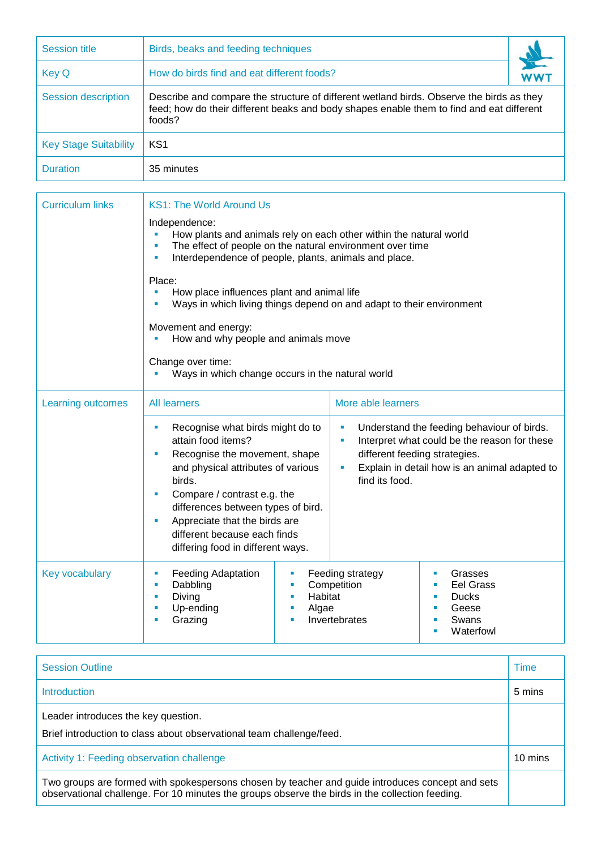| <b>Session title</b>         | Birds, beaks and feeding techniques                                                                                                                                                            |  |  |  |
|------------------------------|------------------------------------------------------------------------------------------------------------------------------------------------------------------------------------------------|--|--|--|
| <b>Key Q</b>                 | How do birds find and eat different foods?                                                                                                                                                     |  |  |  |
| Session description          | Describe and compare the structure of different wetland birds. Observe the birds as they<br>feed; how do their different beaks and body shapes enable them to find and eat different<br>foods? |  |  |  |
| <b>Key Stage Suitability</b> | KS <sub>1</sub>                                                                                                                                                                                |  |  |  |
| <b>Duration</b>              | 35 minutes                                                                                                                                                                                     |  |  |  |

| <b>Curriculum links</b> | <b>KS1: The World Around Us</b>                                                                                                                                                                                                                                                                                                                                  |                                                                      |                                                                                                                                                                              |  |  |  |
|-------------------------|------------------------------------------------------------------------------------------------------------------------------------------------------------------------------------------------------------------------------------------------------------------------------------------------------------------------------------------------------------------|----------------------------------------------------------------------|------------------------------------------------------------------------------------------------------------------------------------------------------------------------------|--|--|--|
|                         | Independence:<br>How plants and animals rely on each other within the natural world<br>Ű,<br>The effect of people on the natural environment over time<br>٠<br>Interdependence of people, plants, animals and place.<br>$\blacksquare$                                                                                                                           |                                                                      |                                                                                                                                                                              |  |  |  |
|                         | Place:<br>How place influences plant and animal life<br>Ways in which living things depend on and adapt to their environment                                                                                                                                                                                                                                     |                                                                      |                                                                                                                                                                              |  |  |  |
|                         | Movement and energy:<br>How and why people and animals move<br>Change over time:<br>Ways in which change occurs in the natural world                                                                                                                                                                                                                             |                                                                      |                                                                                                                                                                              |  |  |  |
|                         |                                                                                                                                                                                                                                                                                                                                                                  |                                                                      |                                                                                                                                                                              |  |  |  |
| Learning outcomes       | <b>All learners</b>                                                                                                                                                                                                                                                                                                                                              |                                                                      | More able learners                                                                                                                                                           |  |  |  |
|                         | Recognise what birds might do to<br>×<br>attain food items?<br>Recognise the movement, shape<br>$\blacksquare$<br>and physical attributes of various<br>birds.<br>Compare / contrast e.g. the<br>$\blacksquare$<br>differences between types of bird.<br>Appreciate that the birds are<br>×<br>different because each finds<br>differing food in different ways. | ×<br>Ì.<br>ш<br>find its food.                                       | Understand the feeding behaviour of birds.<br>Interpret what could be the reason for these<br>different feeding strategies.<br>Explain in detail how is an animal adapted to |  |  |  |
| Key vocabulary          | <b>Feeding Adaptation</b><br>×<br>m,<br>Dabbling<br>$\blacksquare$<br><b>I</b><br>Diving<br>٠<br>٠<br>Up-ending<br>٠<br>×<br>Grazing<br>٠<br>٠                                                                                                                                                                                                                   | Feeding strategy<br>Competition<br>Habitat<br>Algae<br>Invertebrates | Grasses<br>ш<br><b>Eel Grass</b><br>×<br><b>Ducks</b><br>×<br>Geese<br>×<br>Swans<br>٠<br>Waterfowl<br>٠                                                                     |  |  |  |

| <b>Session Outline</b>                                                                                                                                                                              | Time    |
|-----------------------------------------------------------------------------------------------------------------------------------------------------------------------------------------------------|---------|
| <b>Introduction</b>                                                                                                                                                                                 | 5 mins  |
| Leader introduces the key question.<br>Brief introduction to class about observational team challenge/feed.                                                                                         |         |
| Activity 1: Feeding observation challenge                                                                                                                                                           | 10 mins |
| Two groups are formed with spokespersons chosen by teacher and guide introduces concept and sets<br>observational challenge. For 10 minutes the groups observe the birds in the collection feeding. |         |